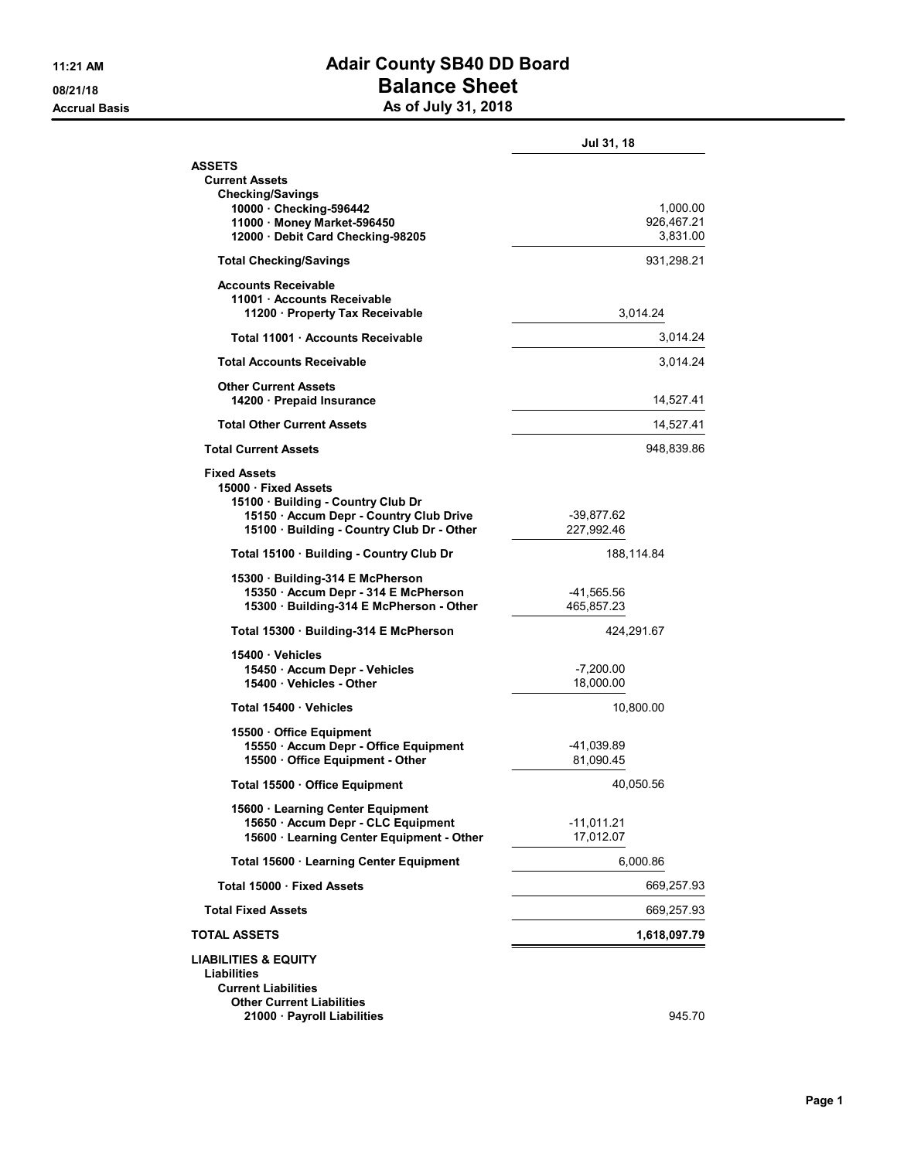## 11:21 AM **Adair County SB40 DD Board 08/21/18 Balance Sheet** Accrual Basis **As of July 31, 2018**

|  |  |  |  | As of July 31, 2018 |
|--|--|--|--|---------------------|
|--|--|--|--|---------------------|

|                                                                                                                                                                          | Jul 31, 18               |                      |
|--------------------------------------------------------------------------------------------------------------------------------------------------------------------------|--------------------------|----------------------|
| <b>ASSETS</b><br><b>Current Assets</b><br><b>Checking/Savings</b>                                                                                                        |                          |                      |
| 10000 Checking-596442<br>11000 · Money Market-596450<br>12000 Debit Card Checking-98205                                                                                  | 926,467.21               | 1,000.00<br>3.831.00 |
| <b>Total Checking/Savings</b>                                                                                                                                            | 931,298.21               |                      |
| <b>Accounts Receivable</b><br>11001 Accounts Receivable<br>11200 · Property Tax Receivable                                                                               | 3,014.24                 |                      |
| Total 11001 Accounts Receivable                                                                                                                                          |                          | 3.014.24             |
| <b>Total Accounts Receivable</b>                                                                                                                                         |                          | 3,014.24             |
| <b>Other Current Assets</b><br>14200 · Prepaid Insurance                                                                                                                 | 14,527.41                |                      |
| <b>Total Other Current Assets</b>                                                                                                                                        | 14,527.41                |                      |
| <b>Total Current Assets</b>                                                                                                                                              | 948,839.86               |                      |
| <b>Fixed Assets</b><br>15000 · Fixed Assets<br>15100 Building - Country Club Dr<br>15150 · Accum Depr - Country Club Drive<br>15100 · Building - Country Club Dr - Other | -39,877.62<br>227.992.46 |                      |
| Total 15100 · Building - Country Club Dr                                                                                                                                 | 188,114.84               |                      |
| 15300 Building-314 E McPherson<br>15350 · Accum Depr - 314 E McPherson<br>15300 · Building-314 E McPherson - Other                                                       | -41,565.56<br>465,857.23 |                      |
| Total 15300 · Building-314 E McPherson                                                                                                                                   | 424,291.67               |                      |
| 15400 · Vehicles<br>15450 · Accum Depr - Vehicles<br>15400 Vehicles - Other                                                                                              | $-7,200.00$<br>18,000.00 |                      |
| Total 15400 Vehicles                                                                                                                                                     | 10,800.00                |                      |
| 15500 Office Equipment<br>15550 · Accum Depr - Office Equipment<br>15500 Office Equipment - Other                                                                        | -41,039.89<br>81,090.45  |                      |
| Total 15500 Office Equipment                                                                                                                                             | 40,050.56                |                      |
| 15600 · Learning Center Equipment<br>15650 · Accum Depr - CLC Equipment<br>15600 · Learning Center Equipment - Other                                                     | -11,011.21<br>17,012.07  |                      |
| Total 15600 · Learning Center Equipment                                                                                                                                  | 6,000.86                 |                      |
| Total 15000 · Fixed Assets                                                                                                                                               | 669,257.93               |                      |
| <b>Total Fixed Assets</b>                                                                                                                                                | 669,257.93               |                      |
| TOTAL ASSETS                                                                                                                                                             | 1,618,097.79             |                      |
| <b>LIABILITIES &amp; EQUITY</b><br><b>Liabilities</b><br><b>Current Liabilities</b><br>Other Current Liabilities<br>21000 · Payroll Liabilities                          |                          | 945.70               |